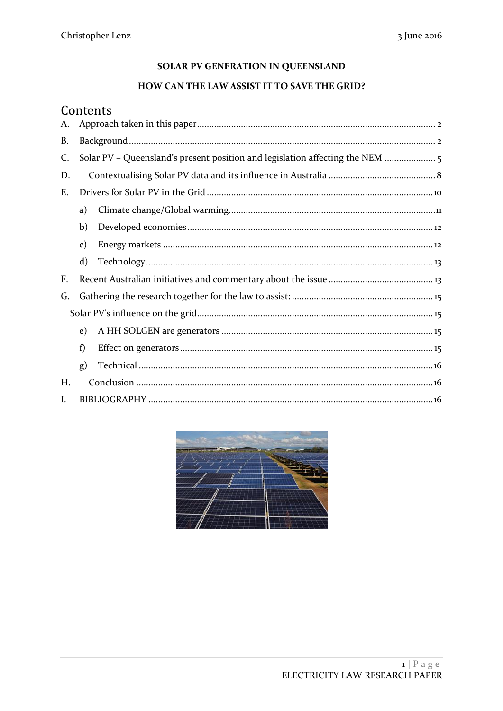## SOLAR PV GENERATION IN QUEENSLAND

## HOW CAN THE LAW ASSIST IT TO SAVE THE GRID?

# Contents

| А. |                                                                            |  |
|----|----------------------------------------------------------------------------|--|
| B. |                                                                            |  |
| C. | Solar PV – Queensland's present position and legislation affecting the NEM |  |
| D. |                                                                            |  |
| Ε. |                                                                            |  |
|    | a)                                                                         |  |
|    | b)                                                                         |  |
|    | $\mathbf{c})$                                                              |  |
|    | $\mathbf{d}$                                                               |  |
| F. |                                                                            |  |
| G. |                                                                            |  |
|    |                                                                            |  |
|    | e)                                                                         |  |
|    | f)                                                                         |  |
|    | g)                                                                         |  |
| Н. |                                                                            |  |
| I. |                                                                            |  |

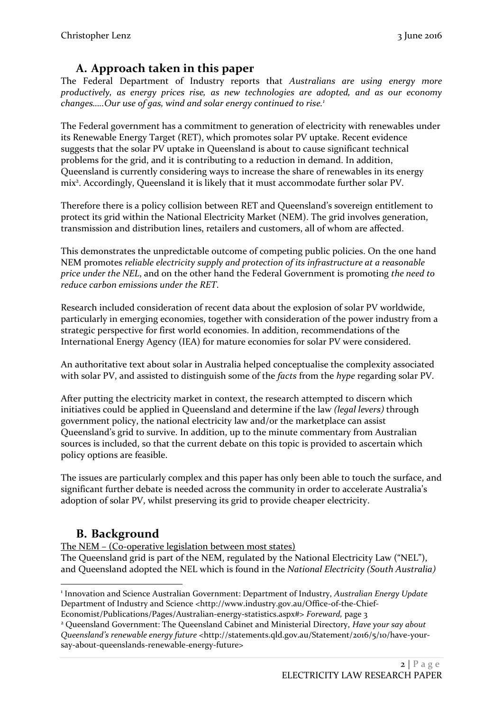## **A. Approach taken in this paper**

<span id="page-1-0"></span>The Federal Department of Industry reports that *Australians are using energy more productively, as energy prices rise, as new technologies are adopted, and as our economy changes…..Our use of gas, wind and solar energy continued to rise.<sup>1</sup>*

The Federal government has a commitment to generation of electricity with renewables under its Renewable Energy Target (RET), which promotes solar PV uptake. Recent evidence suggests that the solar PV uptake in Queensland is about to cause significant technical problems for the grid, and it is contributing to a reduction in demand. In addition, Queensland is currently considering ways to increase the share of renewables in its energy mix<sup>2</sup>. Accordingly, Queensland it is likely that it must accommodate further solar PV.

Therefore there is a policy collision between RET and Queensland's sovereign entitlement to protect its grid within the National Electricity Market (NEM). The grid involves generation, transmission and distribution lines, retailers and customers, all of whom are affected.

This demonstrates the unpredictable outcome of competing public policies. On the one hand NEM promotes *reliable electricity supply and protection of its infrastructure at a reasonable price under the NEL*, and on the other hand the Federal Government is promoting *the need to reduce carbon emissions under the RET*.

Research included consideration of recent data about the explosion of solar PV worldwide, particularly in emerging economies, together with consideration of the power industry from a strategic perspective for first world economies. In addition, recommendations of the International Energy Agency (IEA) for mature economies for solar PV were considered.

An authoritative text about solar in Australia helped conceptualise the complexity associated with solar PV, and assisted to distinguish some of the *facts* from the *hype* regarding solar PV.

After putting the electricity market in context, the research attempted to discern which initiatives could be applied in Queensland and determine if the law *(legal levers)* through government policy, the national electricity law and/or the marketplace can assist Queensland's grid to survive. In addition, up to the minute commentary from Australian sources is included, so that the current debate on this topic is provided to ascertain which policy options are feasible.

The issues are particularly complex and this paper has only been able to touch the surface, and significant further debate is needed across the community in order to accelerate Australia's adoption of solar PV, whilst preserving its grid to provide cheaper electricity.

## <span id="page-1-1"></span>**B. Background**

The NEM – (Co-operative legislation between most states)

The Queensland grid is part of the NEM, regulated by the National Electricity Law ("NEL"), and Queensland adopted the NEL which is found in the *National Electricity (South Australia)* 

<sup>1</sup> 1 Innovation and Science Australian Government: Department of Industry, *Australian Energy Update* Department of Industry and Science <http://www.industry.gov.au/Office-of-the-Chief-

Economist/Publications/Pages/Australian-energy-statistics.aspx#> *Foreward,* page 3

<sup>2</sup> Queensland Government: The Queensland Cabinet and Ministerial Directory, *Have your say about Queensland's renewable energy future* <http://statements.qld.gov.au/Statement/2016/5/10/have-yoursay-about-queenslands-renewable-energy-future>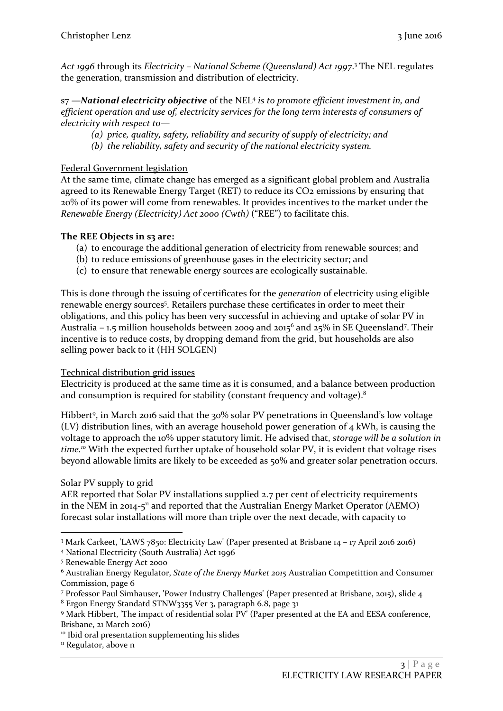*Act 1996* through its *Electricity – National Scheme (Queensland) Act 1997*. <sup>3</sup> The NEL regulates the generation, transmission and distribution of electricity.

s7 *—National electricity objective* of the NEL<sup>4</sup> *is to promote efficient investment in, and efficient operation and use of, electricity services for the long term interests of consumers of electricity with respect to—*

- *(a) price, quality, safety, reliability and security of supply of electricity; and*
- *(b) the reliability, safety and security of the national electricity system.*

## Federal Government legislation

At the same time, climate change has emerged as a significant global problem and Australia agreed to its Renewable Energy Target (RET) to reduce its CO<sub>2</sub> emissions by ensuring that 20% of its power will come from renewables. It provides incentives to the market under the *Renewable Energy (Electricity) Act 2000 (Cwth)* ("REE") to facilitate this.

## **The REE Objects in s3 are:**

- (a) to encourage the additional generation of electricity from renewable sources; and
- (b) to reduce emissions of greenhouse gases in the electricity sector; and
- (c) to ensure that renewable energy sources are ecologically sustainable.

This is done through the issuing of certificates for the *generation* of electricity using eligible renewable energy sources<sup>5</sup>. Retailers purchase these certificates in order to meet their obligations, and this policy has been very successful in achieving and uptake of solar PV in Australia – 1.5 million households between 2009 and 2015 $^6$  and 25% in SE Queensland<sup>7</sup>. Their incentive is to reduce costs, by dropping demand from the grid, but households are also selling power back to it (HH SOLGEN)

## Technical distribution grid issues

Electricity is produced at the same time as it is consumed, and a balance between production and consumption is required for stability (constant frequency and voltage).<sup>8</sup>

Hibbert<sup>9</sup>, in March 2016 said that the 30% solar PV penetrations in Queensland's low voltage (LV) distribution lines, with an average household power generation of  $4 \text{ kWh}$ , is causing the voltage to approach the 10% upper statutory limit. He advised that, *storage will be a solution in time. <sup>10</sup>* With the expected further uptake of household solar PV, it is evident that voltage rises beyond allowable limits are likely to be exceeded as 50% and greater solar penetration occurs.

## Solar PV supply to grid

1

AER reported that Solar PV installations supplied 2.7 per cent of electricity requirements in the NEM in 2014-5<sup>11</sup> and reported that the Australian Energy Market Operator (AEMO) forecast solar installations will more than triple over the next decade, with capacity to

<sup>3</sup> Mark Carkeet, 'LAWS 7850: Electricity Law' (Paper presented at Brisbane 14 – 17 April 2016 2016)

<sup>4</sup> National Electricity (South Australia) Act 1996

<sup>5</sup> Renewable Energy Act 2000

<sup>6</sup> Australian Energy Regulator, *State of the Energy Market 2015* Australian Competittion and Consumer Commission, page 6

<sup>7</sup> Professor Paul Simhauser, 'Power Industry Challenges' (Paper presented at Brisbane, 2015), slide 4 <sup>8</sup> Ergon Energy Standatd STNW3355 Ver 3, paragraph 6.8, page 31

<sup>9</sup> Mark Hibbert, 'The impact of residential solar PV' (Paper presented at the EA and EESA conference, Brisbane, 21 March 2016)

<sup>&</sup>lt;sup>10</sup> Ibid oral presentation supplementing his slides

<sup>&</sup>lt;sup>11</sup> Regulator, above n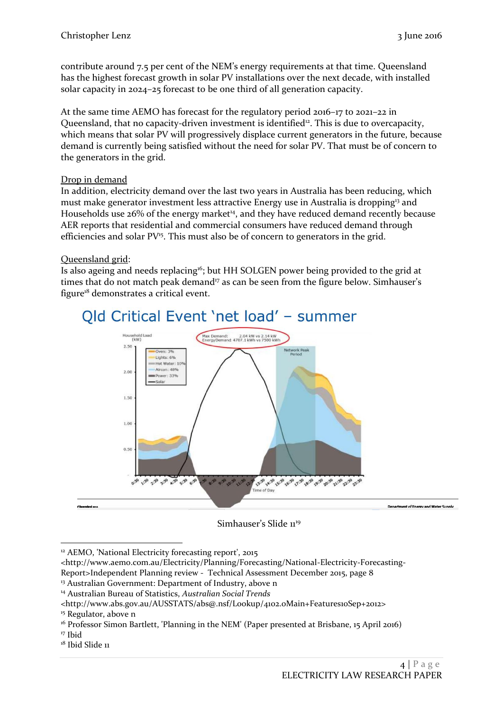contribute around 7.5 per cent of the NEM's energy requirements at that time. Queensland has the highest forecast growth in solar PV installations over the next decade, with installed solar capacity in 2024–25 forecast to be one third of all generation capacity.

At the same time AEMO has forecast for the regulatory period 2016–17 to 2021–22 in Queensland, that no capacity-driven investment is identified<sup>12</sup>. This is due to overcapacity, which means that solar PV will progressively displace current generators in the future, because demand is currently being satisfied without the need for solar PV. That must be of concern to the generators in the grid.

## Drop in demand

In addition, electricity demand over the last two years in Australia has been reducing, which must make generator investment less attractive Energy use in Australia is dropping<sup>13</sup> and Households use 26% of the energy market<sup>14</sup>, and they have reduced demand recently because AER reports that residential and commercial consumers have reduced demand through efficiencies and solar PV<sup>15</sup>. This must also be of concern to generators in the grid.

## Queensland grid:

Is also ageing and needs replacing<sup>16</sup>; but HH SOLGEN power being provided to the grid at times that do not match peak demand<sup>17</sup> as can be seen from the figure below. Simhauser's figure<sup>18</sup> demonstrates a critical event.



## Simhauser's Slide 11<sup>19</sup>

<sup>&</sup>lt;u>.</u> <sup>12</sup> AEMO, 'National Electricity forecasting report', 2015

<sup>&</sup>lt;http://www.aemo.com.au/Electricity/Planning/Forecasting/National-Electricity-Forecasting-Report>Independent Planning review - Technical Assessment December 2015, page 8

<sup>&</sup>lt;sup>13</sup> Australian Government: Department of Industry, above n

<sup>14</sup> Australian Bureau of Statistics, *Australian Social Trends*

<sup>&</sup>lt;http://www.abs.gov.au/AUSSTATS/abs@.nsf/Lookup/4102.0Main+Features10Sep+2012>

<sup>&</sup>lt;sup>15</sup> Regulator, above n

<sup>&</sup>lt;sup>16</sup> Professor Simon Bartlett, 'Planning in the NEM' (Paper presented at Brisbane, 15 April 2016)

<sup>17</sup> Ibid

<sup>&</sup>lt;sup>18</sup> Ibid Slide 11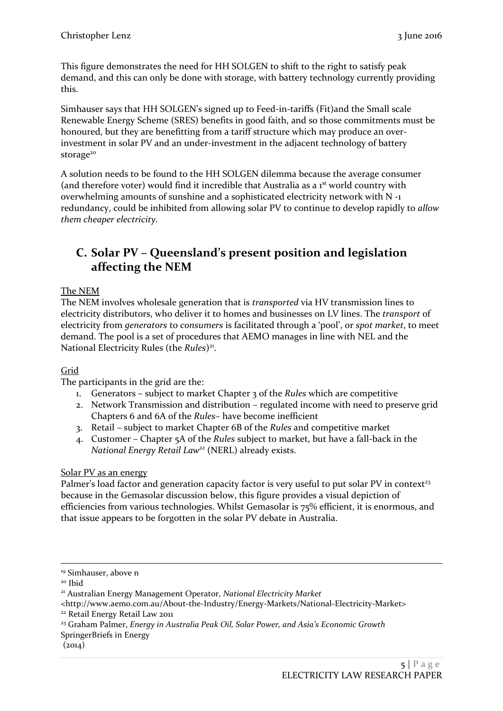This figure demonstrates the need for HH SOLGEN to shift to the right to satisfy peak demand, and this can only be done with storage, with battery technology currently providing this.

Simhauser says that HH SOLGEN's signed up to Feed-in-tariffs (Fit)and the Small scale Renewable Energy Scheme (SRES) benefits in good faith, and so those commitments must be honoured, but they are benefitting from a tariff structure which may produce an overinvestment in solar PV and an under-investment in the adjacent technology of battery storage<sup>20</sup>

A solution needs to be found to the HH SOLGEN dilemma because the average consumer (and therefore voter) would find it incredible that Australia as a 1<sup>st</sup> world country with overwhelming amounts of sunshine and a sophisticated electricity network with N -1 redundancy, could be inhibited from allowing solar PV to continue to develop rapidly to *allow them cheaper electricity*.

## <span id="page-4-0"></span>**C. Solar PV – Queensland's present position and legislation affecting the NEM**

## The NEM

The NEM involves wholesale generation that is *transported* via HV transmission lines to electricity distributors, who deliver it to homes and businesses on LV lines. The *transport* of electricity from *generators* to *consumers* is facilitated through a 'pool', or *spot market*, to meet demand. The pool is a set of procedures that AEMO manages in line with NEL and the National Electricity Rules (the Rules)<sup>21</sup>.

## Grid

The participants in the grid are the:

- 1. Generators subject to market Chapter 3 of the *Rules* which are competitive
- 2. Network Transmission and distribution regulated income with need to preserve grid Chapters 6 and 6A of the *Rules*– have become inefficient
- 3. Retail subject to market Chapter 6B of the *Rules* and competitive market
- 4. Customer Chapter 5A of the *Rules* subject to market, but have a fall-back in the *National Energy Retail Law<sup>22</sup>* (NERL) already exists.

## Solar PV as an energy

Palmer's load factor and generation capacity factor is very useful to put solar PV in context<sup>23</sup> because in the Gemasolar discussion below, this figure provides a visual depiction of efficiencies from various technologies. Whilst Gemasolar is 75% efficient, it is enormous, and that issue appears to be forgotten in the solar PV debate in Australia.

1

<sup>&</sup>lt;sup>19</sup> Simhauser, above n

<sup>20</sup> Ibid

<sup>21</sup> Australian Energy Management Operator, *National Electricity Market*

<sup>&</sup>lt;http://www.aemo.com.au/About-the-Industry/Energy-Markets/National-Electricity-Market>

<sup>22</sup> Retail Energy Retail Law 2011

<sup>23</sup> Graham Palmer, *Energy in Australia Peak Oil, Solar Power, and Asia's Economic Growth*

SpringerBriefs in Energy

 $(2014)$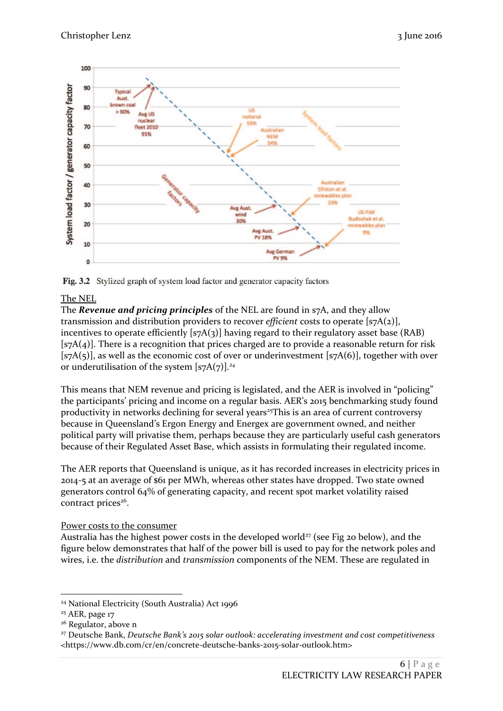

Fig. 3.2 Stylized graph of system load factor and generator capacity factors

## The NEL

The *Revenue and pricing principles* of the NEL are found in s7A, and they allow transmission and distribution providers to recover *efficient* costs to operate [s7A(2)], incentives to operate efficiently  $[s7A(3)]$  having regard to their regulatory asset base (RAB)  $[s<sub>7</sub>A(4)]$ . There is a recognition that prices charged are to provide a reasonable return for risk [ $s7A(5)$ ], as well as the economic cost of over or underinvestment [ $s7A(6)$ ], together with over or underutilisation of the system [s7A(7)]*. 24*

This means that NEM revenue and pricing is legislated, and the AER is involved in "policing" the participants' pricing and income on a regular basis. AER's 2015 benchmarking study found productivity in networks declining for several years<sup>25</sup>This is an area of current controversy because in Queensland's Ergon Energy and Energex are government owned, and neither political party will privatise them, perhaps because they are particularly useful cash generators because of their Regulated Asset Base, which assists in formulating their regulated income.

The AER reports that Queensland is unique, as it has recorded increases in electricity prices in 2014-5 at an average of \$61 per MWh, whereas other states have dropped. Two state owned generators control 64% of generating capacity, and recent spot market volatility raised contract prices<sup>26</sup>.

## Power costs to the consumer

Australia has the highest power costs in the developed world<sup>27</sup> (see Fig 20 below), and the figure below demonstrates that half of the power bill is used to pay for the network poles and wires, i.e. the *distribution* and *transmission* components of the NEM. These are regulated in

<sup>-</sup><sup>24</sup> National Electricity (South Australia) Act 1996

<sup>&</sup>lt;sup>25</sup> AER, page 17

<sup>&</sup>lt;sup>26</sup> Regulator, above n

<sup>27</sup> Deutsche Bank, *Deutsche Bank's 2015 solar outlook: accelerating investment and cost competitiveness* <https://www.db.com/cr/en/concrete-deutsche-banks-2015-solar-outlook.htm>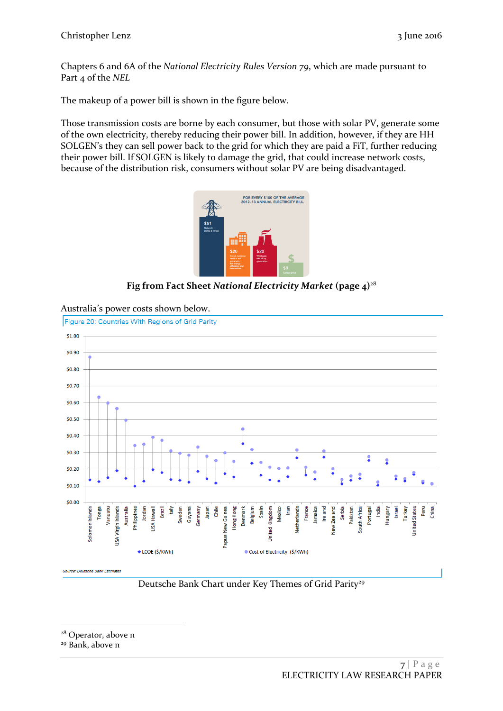Chapters 6 and 6A of the *National Electricity Rules Version 79*, which are made pursuant to Part 4 of the *NEL*

The makeup of a power bill is shown in the figure below.

Those transmission costs are borne by each consumer, but those with solar PV, generate some of the own electricity, thereby reducing their power bill. In addition, however, if they are HH SOLGEN's they can sell power back to the grid for which they are paid a FiT, further reducing their power bill. If SOLGEN is likely to damage the grid, that could increase network costs, because of the distribution risk, consumers without solar PV are being disadvantaged.



**Fig from Fact Sheet** *National Electricity Market* **(page 4)** 28



Australia's power costs shown below.

Deutsche Bank Chart under Key Themes of Grid Parity<sup>29</sup>

<sup>1</sup> <sup>28</sup> Operator, above n

<sup>29</sup> Bank, above n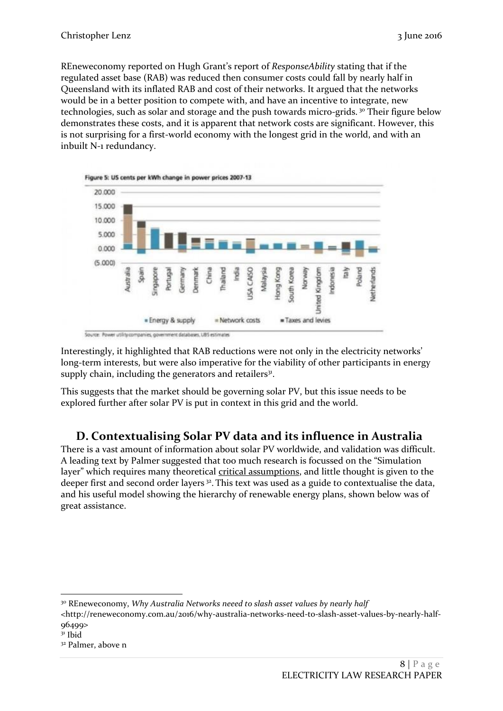REneweconomy reported on Hugh Grant's report of *ResponseAbility* stating that if the regulated asset base (RAB) was reduced then consumer costs could fall by nearly half in Queensland with its inflated RAB and cost of their networks. It argued that the networks would be in a better position to compete with, and have an incentive to integrate, new technologies, such as solar and storage and the push towards micro-grids. <sup>30</sup> Their figure below demonstrates these costs, and it is apparent that network costs are significant. However, this is not surprising for a first-world economy with the longest grid in the world, and with an inbuilt N-1 redundancy.



Interestingly, it highlighted that RAB reductions were not only in the electricity networks' long-term interests, but were also imperative for the viability of other participants in energy supply chain, including the generators and retailers<sup>31</sup>.

<span id="page-7-0"></span>This suggests that the market should be governing solar PV, but this issue needs to be explored further after solar PV is put in context in this grid and the world.

## **D. Contextualising Solar PV data and its influence in Australia**

There is a vast amount of information about solar PV worldwide, and validation was difficult. A leading text by Palmer suggested that too much research is focussed on the "Simulation layer" which requires many theoretical critical assumptions, and little thought is given to the deeper first and second order layers<sup>32</sup>. This text was used as a guide to contextualise the data, and his useful model showing the hierarchy of renewable energy plans, shown below was of great assistance.

<sup>-</sup><sup>30</sup> REneweconomy, *Why Australia Networks neeed to slash asset values by nearly half*

<sup>&</sup>lt;http://reneweconomy.com.au/2016/why-australia-networks-need-to-slash-asset-values-by-nearly-half-96499>

 $31$  Ibid

<sup>32</sup> Palmer, above n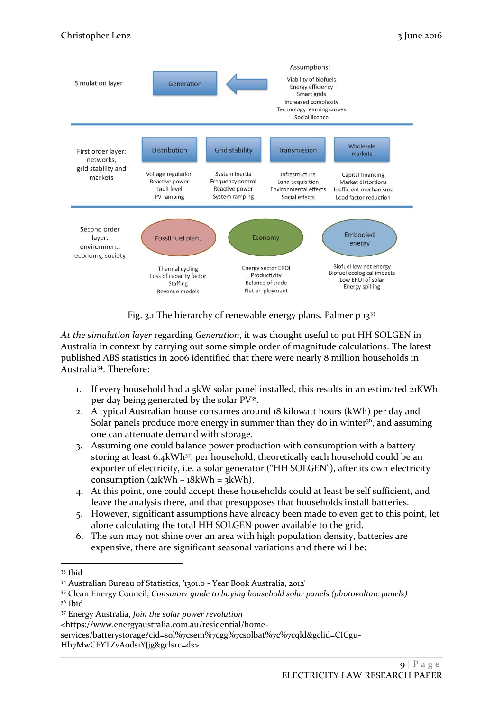

Fig. 3.1 The hierarchy of renewable energy plans. Palmer p 13<sup>33</sup>

*At the simulation layer* regarding *Generation*, it was thought useful to put HH SOLGEN in Australia in context by carrying out some simple order of magnitude calculations. The latest published ABS statistics in 2006 identified that there were nearly 8 million households in Australia<sup>34</sup>. Therefore:

- 1. If every household had a 5kW solar panel installed, this results in an estimated 21KWh per day being generated by the solar PV<sup>35</sup>.
- 2. A typical Australian house consumes around 18 kilowatt hours (kWh) per day and Solar panels produce more energy in summer than they do in winter $36$ , and assuming one can attenuate demand with storage.
- 3. Assuming one could balance power production with consumption with a battery storing at least 6.4kWh<sup>37</sup>, per household, theoretically each household could be an exporter of electricity, i.e. a solar generator ("HH SOLGEN"), after its own electricity consumption ( $21$ kWh –  $18$ kWh =  $3$ kWh).
- 4. At this point, one could accept these households could at least be self sufficient, and leave the analysis there, and that presupposes that households install batteries.
- 5. However, significant assumptions have already been made to even get to this point, let alone calculating the total HH SOLGEN power available to the grid.
- 6. The sun may not shine over an area with high population density, batteries are expensive, there are significant seasonal variations and there will be:

1

<sup>33</sup> Ibid

<sup>34</sup> Australian Bureau of Statistics, '1301.0 - Year Book Australia, 2012'

<sup>35</sup> Clean Energy Council, *Consumer guide to buying household solar panels (photovoltaic panels)* <sup>36</sup> Ibid

<sup>37</sup> Energy Australia, *Join the solar power revolution*

<sup>&</sup>lt;https://www.energyaustralia.com.au/residential/home-

services/batterystorage?cid=sol%7csem%7cgg%7csolbat%7c%7cqld&gclid=CICgu-Hh7MwCFYTZvAods1YJjg&gclsrc=ds>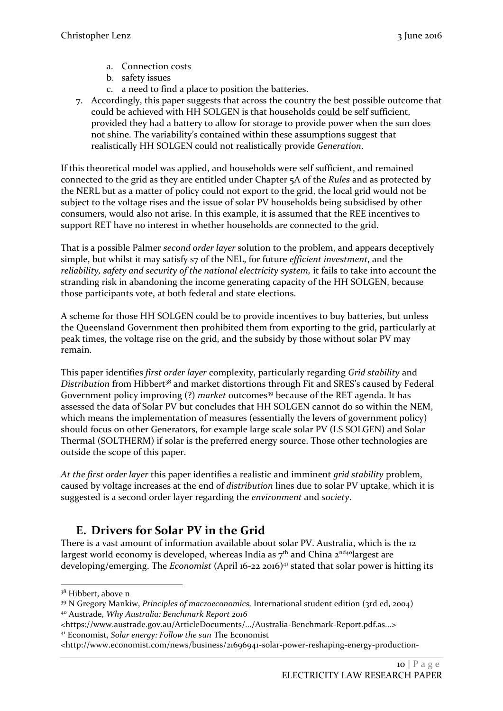- a. Connection costs
- b. safety issues
- c. a need to find a place to position the batteries.
- 7. Accordingly, this paper suggests that across the country the best possible outcome that could be achieved with HH SOLGEN is that households could be self sufficient, provided they had a battery to allow for storage to provide power when the sun does not shine. The variability's contained within these assumptions suggest that realistically HH SOLGEN could not realistically provide *Generation*.

If this theoretical model was applied, and households were self sufficient, and remained connected to the grid as they are entitled under Chapter 5A of the *Rules* and as protected by the NERL but as a matter of policy could not export to the grid, the local grid would not be subject to the voltage rises and the issue of solar PV households being subsidised by other consumers, would also not arise. In this example, it is assumed that the REE incentives to support RET have no interest in whether households are connected to the grid.

That is a possible Palmer *second order layer* solution to the problem, and appears deceptively simple, but whilst it may satisfy s7 of the NEL, for future *efficient investment*, and the *reliability, safety and security of the national electricity system,* it fails to take into account the stranding risk in abandoning the income generating capacity of the HH SOLGEN, because those participants vote, at both federal and state elections.

A scheme for those HH SOLGEN could be to provide incentives to buy batteries, but unless the Queensland Government then prohibited them from exporting to the grid, particularly at peak times, the voltage rise on the grid, and the subsidy by those without solar PV may remain.

This paper identifies *first order layer* complexity, particularly regarding *Grid stability* and *Distribution* from Hibbert<sup>38</sup> and market distortions through Fit and SRES's caused by Federal Government policy improving (?) *market* outcomes<sup>39</sup> because of the RET agenda. It has assessed the data of Solar PV but concludes that HH SOLGEN cannot do so within the NEM, which means the implementation of measures (essentially the levers of government policy) should focus on other Generators, for example large scale solar PV (LS SOLGEN) and Solar Thermal (SOLTHERM) if solar is the preferred energy source. Those other technologies are outside the scope of this paper.

*At the first order layer* this paper identifies a realistic and imminent *grid stability* problem, caused by voltage increases at the end of *distribution* lines due to solar PV uptake, which it is suggested is a second order layer regarding the *environment* and *society*.

## <span id="page-9-0"></span>**E. Drivers for Solar PV in the Grid**

There is a vast amount of information available about solar PV. Australia, which is the 12 largest world economy is developed, whereas India as  $7<sup>th</sup>$  and China  $2<sup>nd40</sup>$ largest are developing/emerging. The *Economist* (April 16-22 2016)<sup>41</sup> stated that solar power is hitting its

1

<sup>&</sup>lt;sup>38</sup> Hibbert, above n

<sup>39</sup> N Gregory Mankiw, *Principles of macroeconomics,* International student edition (3rd ed, 2004) <sup>40</sup> Austrade, *Why Australia: Benchmark Report 2016*

<sup>&</sup>lt;https://www.austrade.gov.au/ArticleDocuments/.../Australia-Benchmark-Report.pdf.as...> <sup>41</sup> Economist, *Solar energy: Follow the sun* The Economist

<sup>&</sup>lt;http://www.economist.com/news/business/21696941-solar-power-reshaping-energy-production-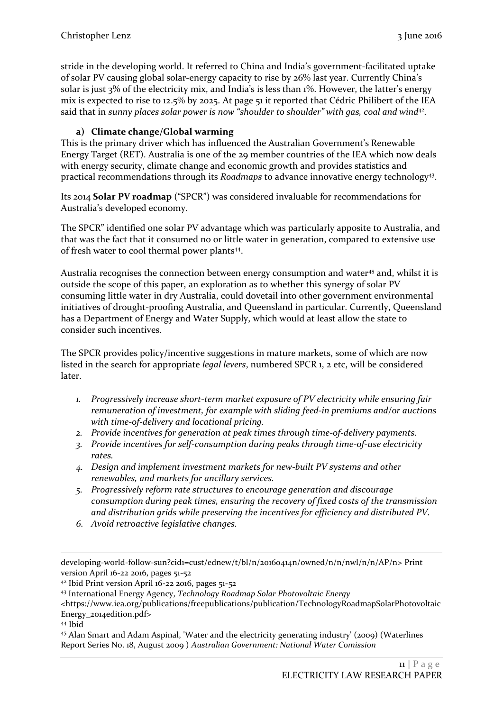stride in the developing world. It referred to China and India's government-facilitated uptake of solar PV causing global solar-energy capacity to rise by 26% last year. Currently China's solar is just 3% of the electricity mix, and India's is less than 1%. However, the latter's energy mix is expected to rise to 12.5% by 2025. At page 51 it reported that Cédric Philibert of the IEA said that in sunny places solar power is now "shoulder to shoulder" with gas, coal and wind<sup>42</sup>.

## **a) Climate change/Global warming**

<span id="page-10-0"></span>This is the primary driver which has influenced the Australian Government's Renewable Energy Target (RET). Australia is one of the 29 member countries of the IEA which now deals with energy security, climate change and economic growth and provides statistics and practical recommendations through its *Roadmaps* to advance innovative energy technology<sup>43</sup>.

Its 2014 **Solar PV roadmap** ("SPCR") was considered invaluable for recommendations for Australia's developed economy.

The SPCR" identified one solar PV advantage which was particularly apposite to Australia, and that was the fact that it consumed no or little water in generation, compared to extensive use of fresh water to cool thermal power plants<sup>44</sup>.

Australia recognises the connection between energy consumption and water<sup>45</sup> and, whilst it is outside the scope of this paper, an exploration as to whether this synergy of solar PV consuming little water in dry Australia, could dovetail into other government environmental initiatives of drought-proofing Australia, and Queensland in particular. Currently, Queensland has a Department of Energy and Water Supply, which would at least allow the state to consider such incentives.

The SPCR provides policy/incentive suggestions in mature markets, some of which are now listed in the search for appropriate *legal levers*, numbered SPCR 1, 2 etc, will be considered later.

- *1. Progressively increase short-term market exposure of PV electricity while ensuring fair remuneration of investment, for example with sliding feed-in premiums and/or auctions with time-of-delivery and locational pricing.*
- *2. Provide incentives for generation at peak times through time-of-delivery payments.*
- *3. Provide incentives for self-consumption during peaks through time-of-use electricity rates.*
- *4. Design and implement investment markets for new-built PV systems and other renewables, and markets for ancillary services.*
- *5. Progressively reform rate structures to encourage generation and discourage consumption during peak times, ensuring the recovery of fixed costs of the transmission and distribution grids while preserving the incentives for efficiency and distributed PV.*
- *6. Avoid retroactive legislative changes.*

<sup>42</sup> Ibid Print version April 16-22 2016, pages 51-52

-

developing-world-follow-sun?cid1=cust/ednew/t/bl/n/20160414n/owned/n/n/nwl/n/n/AP/n> Print version April 16-22 2016, pages 51-52

<sup>43</sup> International Energy Agency, *Technology Roadmap Solar Photovoltaic Energy*

<sup>&</sup>lt;https://www.iea.org/publications/freepublications/publication/TechnologyRoadmapSolarPhotovoltaic Energy\_2014edition.pdf>

<sup>44</sup> Ibid

<sup>45</sup> Alan Smart and Adam Aspinal, 'Water and the electricity generating industry' (2009) (Waterlines Report Series No. 18, August 2009 ) *Australian Government: National Water Comission*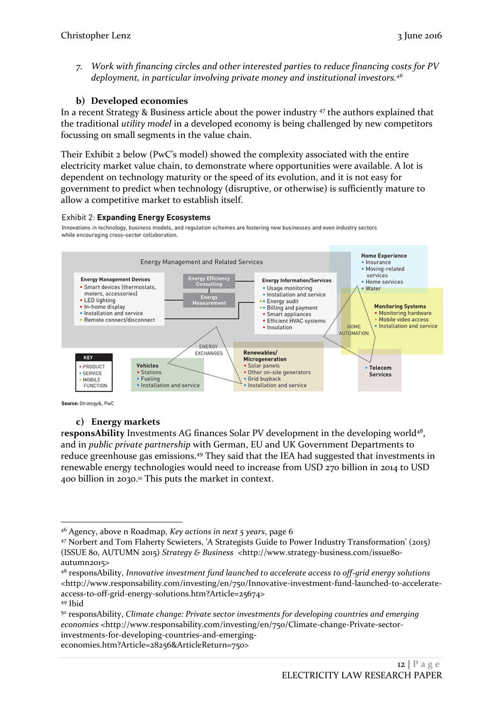*7. Work with financing circles and other interested parties to reduce financing costs for PV deployment, in particular involving private money and institutional investors.<sup>46</sup>*

## **b) Developed economies**

<span id="page-11-0"></span>In a recent Strategy & Business article about the power industry <sup>47</sup> the authors explained that the traditional *utility model* in a developed economy is being challenged by new competitors focussing on small segments in the value chain.

Their Exhibit 2 below (PwC's model) showed the complexity associated with the entire electricity market value chain, to demonstrate where opportunities were available. A lot is dependent on technology maturity or the speed of its evolution, and it is not easy for government to predict when technology (disruptive, or otherwise) is sufficiently mature to allow a competitive market to establish itself.

#### **Exhibit 2: Expanding Energy Ecosystems**

Innovations in technology, business models, and regulation schemes are fostering new businesses and even industry sectors while encouraging cross-sector collaboration.



Source: Strategy&, PwC

## **c) Energy markets**

<span id="page-11-1"></span>responsAbility Investments AG finances Solar PV development in the developing world<sup>48</sup>, and in *public private partnership* with German, EU and UK Government Departments to reduce greenhouse gas emissions.<sup>49</sup> They said that the IEA had suggested that investments in renewable energy technologies would need to increase from USD 270 billion in 2014 to USD 400 billion in 2030. <sup>50</sup> This puts the market in context.

-

<sup>50</sup> responsAbility, *Climate change: Private sector investments for developing countries and emerging economies* <http://www.responsability.com/investing/en/750/Climate-change-Private-sectorinvestments-for-developing-countries-and-emergingeconomies.htm?Article=28256&ArticleReturn=750>

<sup>46</sup> Agency, above n Roadmap, *Key actions in next 5 years*, page 6

<sup>47</sup> Norbert and Tom Flaherty Scwieters, 'A Strategists Guide to Power Industry Transformation' (2015) (ISSUE 80, AUTUMN 2015) *Strategy & Business* <http://www.strategy-business.com/issue80 autumn2015>

<sup>48</sup> responsAbility, *Innovative investment fund launched to accelerate access to off-grid energy solutions* <http://www.responsability.com/investing/en/750/Innovative-investment-fund-launched-to-accelerateaccess-to-off-grid-energy-solutions.htm?Article=25674>

<sup>49</sup> Ibid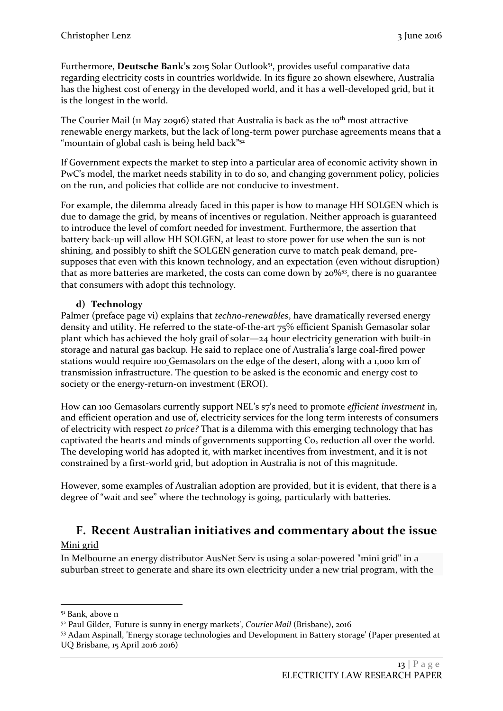Furthermore, **Deutsche Bank's** 2015 Solar Outlook<sup>51</sup>, provides useful comparative data regarding electricity costs in countries worldwide. In its figure 20 shown elsewhere, Australia has the highest cost of energy in the developed world, and it has a well-developed grid, but it is the longest in the world.

The Courier Mail ( $\mu$  May 20916) stated that Australia is back as the 10<sup>th</sup> most attractive renewable energy markets, but the lack of long-term power purchase agreements means that a "mountain of global cash is being held back"<sup>52</sup>

If Government expects the market to step into a particular area of economic activity shown in PwC's model, the market needs stability in to do so, and changing government policy, policies on the run, and policies that collide are not conducive to investment.

For example, the dilemma already faced in this paper is how to manage HH SOLGEN which is due to damage the grid, by means of incentives or regulation. Neither approach is guaranteed to introduce the level of comfort needed for investment. Furthermore, the assertion that battery back-up will allow HH SOLGEN, at least to store power for use when the sun is not shining, and possibly to shift the SOLGEN generation curve to match peak demand, presupposes that even with this known technology, and an expectation (even without disruption) that as more batteries are marketed, the costs can come down by 20%<sup>53</sup>, there is no guarantee that consumers with adopt this technology.

## **d) Technology**

<span id="page-12-0"></span>Palmer (preface page vi) explains that *techno-renewables*, have dramatically reversed energy density and utility. He referred to the state-of-the-art 75% efficient Spanish Gemasolar solar plant which has achieved the holy grail of solar—24 hour electricity generation with built-in storage and natural gas backup*.* He said to replace one of Australia's large coal-fired power stations would require 100 Gemasolars on the edge of the desert, along with a 1,000 km of transmission infrastructure. The question to be asked is the economic and energy cost to society or the energy-return-on investment (EROI).

How can 100 Gemasolars currently support NEL's s7's need to promote *efficient investment* in*,*  and efficient operation and use of, electricity services for the long term interests of consumers of electricity with respect *to price?* That is a dilemma with this emerging technology that has captivated the hearts and minds of governments supporting  $Co<sub>2</sub>$  reduction all over the world. The developing world has adopted it, with market incentives from investment, and it is not constrained by a first-world grid, but adoption in Australia is not of this magnitude.

<span id="page-12-1"></span>However, some examples of Australian adoption are provided, but it is evident, that there is a degree of "wait and see" where the technology is going, particularly with batteries.

## **F. Recent Australian initiatives and commentary about the issue**

## Mini grid

1

In Melbourne an energy distributor AusNet Serv is using a solar-powered "mini grid" in a suburban street to generate and share its own electricity under a new trial program, with the

<sup>51</sup> Bank, above n

<sup>52</sup> Paul Gilder, 'Future is sunny in energy markets', *Courier Mail* (Brisbane), 2016

<sup>53</sup> Adam Aspinall, 'Energy storage technologies and Development in Battery storage' (Paper presented at UQ Brisbane, 15 April 2016 2016)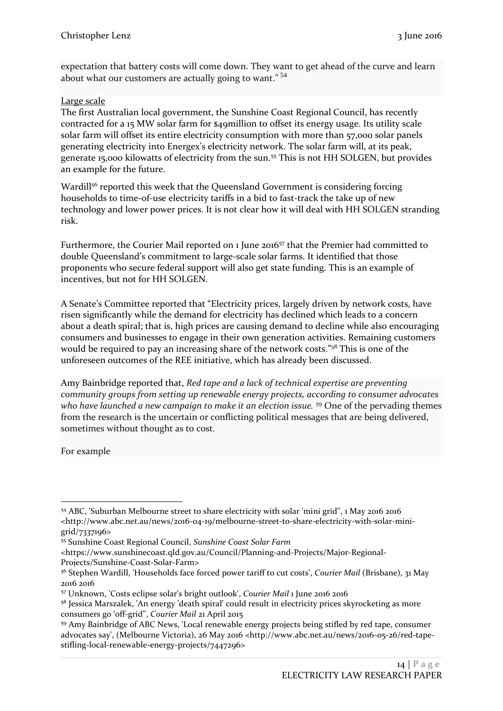expectation that battery costs will come down. They want to get ahead of the curve and learn about what our customers are actually going to want."<sup>54</sup>

## Large scale

The first Australian local government, the Sunshine Coast Regional Council, has recently contracted for a 15 MW solar farm for \$49million to offset its energy usage. Its utility scale solar farm will offset its entire electricity consumption with more than 57,000 solar panels generating electricity into Energex's electricity network. The solar farm will, at its peak, generate 15,000 kilowatts of electricity from the sun.<sup>55</sup> This is not HH SOLGEN, but provides an example for the future.

Wardil<sup>156</sup> reported this week that the Queensland Government is considering forcing households to time-of-use electricity tariffs in a bid to fast-track the take up of new technology and lower power prices. It is not clear how it will deal with HH SOLGEN stranding risk.

Furthermore, the Courier Mail reported on 1 June 2016<sup>57</sup> that the Premier had committed to double Queensland's commitment to large-scale solar farms. It identified that those proponents who secure federal support will also get state funding. This is an example of incentives, but not for HH SOLGEN.

A Senate's Committee reported that "Electricity prices, largely driven by network costs, have risen significantly while the demand for electricity has declined which leads to a concern about a death spiral; that is, high prices are causing demand to decline while also encouraging consumers and businesses to engage in their own generation activities. Remaining customers would be required to pay an increasing share of the network costs."<sup>58</sup> This is one of the unforeseen outcomes of the REE initiative, which has already been discussed.

[Amy Bainbridge](http://www.abc.net.au/news/amy-bainbridge/3938908) reported that, *Red tape and a lack of technical expertise are preventing community groups from setting up renewable energy projects, according to consumer advocates who have launched a new campaign to make it an election issue.* <sup>59</sup> One of the pervading themes from the research is the uncertain or conflicting political messages that are being delivered, sometimes without thought as to cost.

For example

<sup>-</sup><sup>54</sup> ABC, 'Suburban Melbourne street to share electricity with solar 'mini grid'', 1 May 2016 2016 <http://www.abc.net.au/news/2016-04-19/melbourne-street-to-share-electricity-with-solar-minigrid/7337196>

<sup>55</sup> Sunshine Coast Regional Council, *Sunshine Coast Solar Farm*

<sup>&</sup>lt;https://www.sunshinecoast.qld.gov.au/Council/Planning-and-Projects/Major-Regional-Projects/Sunshine-Coast-Solar-Farm>

<sup>56</sup> Stephen Wardill, 'Households face forced power tariff to cut costs', *Courier Mail* (Brisbane), 31 May 2016 2016

<sup>57</sup> Unknown, 'Costs eclipse solar's bright outlook', *Courier Mail* 1 June 2016 2016

<sup>&</sup>lt;sup>58</sup> Jessica Marszalek, 'An energy 'death spiral' could result in electricity prices skyrocketing as more consumers go 'off-grid'', *Courier Mail* 21 April 2015

<sup>59</sup> Amy Bainbridge of ABC News, 'Local renewable energy projects being stifled by red tape, consumer advocates say', (Melbourne Victoria), 26 May 2016 <http://www.abc.net.au/news/2016-05-26/red-tapestifling-local-renewable-energy-projects/7447296>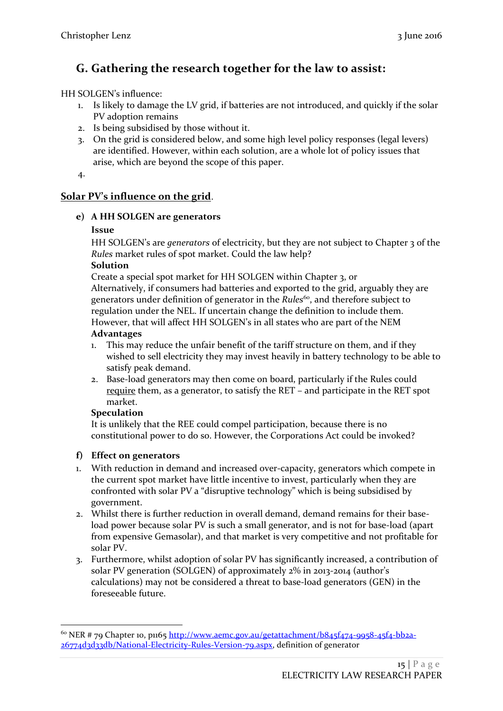## <span id="page-14-0"></span>**G. Gathering the research together for the law to assist:**

## HH SOLGEN's influence:

- 1. Is likely to damage the LV grid, if batteries are not introduced, and quickly if the solar PV adoption remains
- 2. Is being subsidised by those without it.
- 3. On the grid is considered below, and some high level policy responses (legal levers) are identified. However, within each solution, are a whole lot of policy issues that arise, which are beyond the scope of this paper.
- 4.

## <span id="page-14-2"></span><span id="page-14-1"></span>**Solar PV's influence on the grid**.

## **e) A HH SOLGEN are generators**

#### **Issue**

HH SOLGEN's are *generators* of electricity, but they are not subject to Chapter 3 of the *Rules* market rules of spot market. Could the law help?

#### **Solution**

Create a special spot market for HH SOLGEN within Chapter 3, or Alternatively, if consumers had batteries and exported to the grid, arguably they are generators under definition of generator in the *Rules*<sup>60</sup>, and therefore subject to regulation under the NEL. If uncertain change the definition to include them. However, that will affect HH SOLGEN's in all states who are part of the NEM

#### **Advantages**

- 1. This may reduce the unfair benefit of the tariff structure on them, and if they wished to sell electricity they may invest heavily in battery technology to be able to satisfy peak demand.
- 2. Base-load generators may then come on board, particularly if the Rules could require them, as a generator, to satisfy the RET – and participate in the RET spot market.

## **Speculation**

1

It is unlikely that the REE could compel participation, because there is no constitutional power to do so. However, the Corporations Act could be invoked?

## <span id="page-14-3"></span>**f) Effect on generators**

- 1. With reduction in demand and increased over-capacity, generators which compete in the current spot market have little incentive to invest, particularly when they are confronted with solar PV a "disruptive technology" which is being subsidised by government.
- 2. Whilst there is further reduction in overall demand, demand remains for their baseload power because solar PV is such a small generator, and is not for base-load (apart from expensive Gemasolar), and that market is very competitive and not profitable for solar PV.
- 3. Furthermore, whilst adoption of solar PV has significantly increased, a contribution of solar PV generation (SOLGEN) of approximately 2% in 2013-2014 (author's calculations) may not be considered a threat to base-load generators (GEN) in the foreseeable future.

 $60$  NER # 79 Chapter 10, p1165 [http://www.aemc.gov.au/getattachment/b845f474-9958-45f4-bb2a-](http://www.aemc.gov.au/getattachment/b845f474-9958-45f4-bb2a-26774d3d33db/National-Electricity-Rules-Version-79.aspx)[26774d3d33db/National-Electricity-Rules-Version-79.aspx,](http://www.aemc.gov.au/getattachment/b845f474-9958-45f4-bb2a-26774d3d33db/National-Electricity-Rules-Version-79.aspx) definition of generator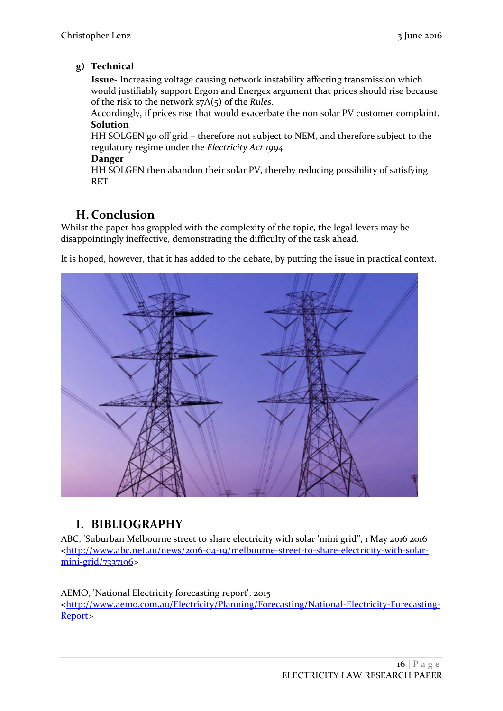## <span id="page-15-0"></span>**g) Technical**

**Issue**- Increasing voltage causing network instability affecting transmission which would justifiably support Ergon and Energex argument that prices should rise because of the risk to the network s7A(5) of the *Rules*.

Accordingly, if prices rise that would exacerbate the non solar PV customer complaint. **Solution**

HH SOLGEN go off grid – therefore not subject to NEM, and therefore subject to the regulatory regime under the *Electricity Act 1994*

#### **Danger**

HH SOLGEN then abandon their solar PV, thereby reducing possibility of satisfying RET

## <span id="page-15-1"></span>**H. Conclusion**

Whilst the paper has grappled with the complexity of the topic, the legal levers may be disappointingly ineffective, demonstrating the difficulty of the task ahead.

It is hoped, however, that it has added to the debate, by putting the issue in practical context.



## <span id="page-15-2"></span>**I. BIBLIOGRAPHY**

ABC, 'Suburban Melbourne street to share electricity with solar 'mini grid'', 1 May 2016 2016 [<http://www.abc.net.au/news/2016-04-19/melbourne-street-to-share-electricity-with-solar](http://www.abc.net.au/news/2016-04-19/melbourne-street-to-share-electricity-with-solar-mini-grid/7337196) $min-grid/7337196$ 

AEMO, 'National Electricity forecasting report', 2015 [<http://www.aemo.com.au/Electricity/Planning/Forecasting/National-Electricity-Forecasting-](http://www.aemo.com.au/Electricity/Planning/Forecasting/National-Electricity-Forecasting-Report)[Report>](http://www.aemo.com.au/Electricity/Planning/Forecasting/National-Electricity-Forecasting-Report)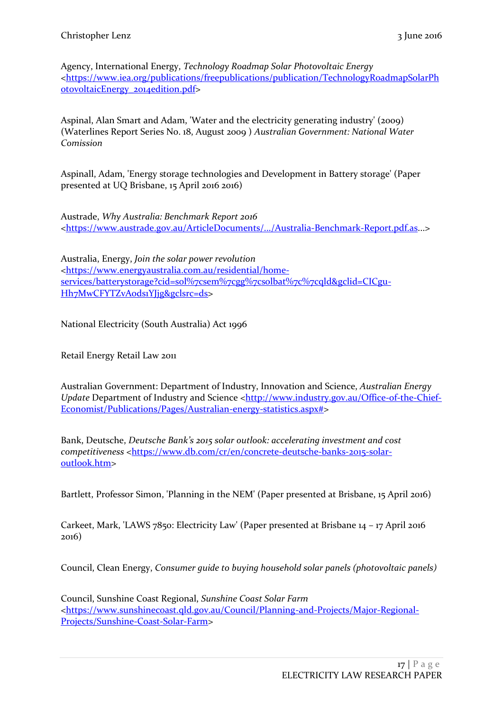Agency, International Energy, *Technology Roadmap Solar Photovoltaic Energy* [<https://www.iea.org/publications/freepublications/publication/TechnologyRoadmapSolarPh](https://www.iea.org/publications/freepublications/publication/TechnologyRoadmapSolarPhotovoltaicEnergy_2014edition.pdf) [otovoltaicEnergy\\_2014edition.pdf>](https://www.iea.org/publications/freepublications/publication/TechnologyRoadmapSolarPhotovoltaicEnergy_2014edition.pdf)

Aspinal, Alan Smart and Adam, 'Water and the electricity generating industry' (2009) (Waterlines Report Series No. 18, August 2009 ) *Australian Government: National Water Comission*

Aspinall, Adam, 'Energy storage technologies and Development in Battery storage' (Paper presented at UQ Brisbane, 15 April 2016 2016)

Austrade, *Why Australia: Benchmark Report 2016* [<https://www.austrade.gov.au/ArticleDocuments/.../Australia-Benchmark-Report.pdf.as.](https://www.austrade.gov.au/ArticleDocuments/.../Australia-Benchmark-Report.pdf.as)..>

Australia, Energy, *Join the solar power revolution* [<https://www.energyaustralia.com.au/residential/home](https://www.energyaustralia.com.au/residential/home-services/batterystorage?cid=sol%7csem%7cgg%7csolbat%7c%7cqld&gclid=CICgu-Hh7MwCFYTZvAods1YJjg&gclsrc=ds)[services/batterystorage?cid=sol%7csem%7cgg%7csolbat%7c%7cqld&gclid=CICgu-](https://www.energyaustralia.com.au/residential/home-services/batterystorage?cid=sol%7csem%7cgg%7csolbat%7c%7cqld&gclid=CICgu-Hh7MwCFYTZvAods1YJjg&gclsrc=ds)Hh7MwCFYTZvAodsiYJjg&gclsrc=ds>

National Electricity (South Australia) Act 1996

Retail Energy Retail Law 2011

Australian Government: Department of Industry, Innovation and Science, *Australian Energy Update* Department of Industry and Science [<http://www.industry.gov.au/Office-of-the-Chief-](http://www.industry.gov.au/Office-of-the-Chief-Economist/Publications/Pages/Australian-energy-statistics.aspx)[Economist/Publications/Pages/Australian-energy-statistics.aspx#>](http://www.industry.gov.au/Office-of-the-Chief-Economist/Publications/Pages/Australian-energy-statistics.aspx)

Bank, Deutsche, *Deutsche Bank's 2015 solar outlook: accelerating investment and cost competitiveness* [<https://www.db.com/cr/en/concrete-deutsche-banks-2015-solar](https://www.db.com/cr/en/concrete-deutsche-banks-2015-solar-outlook.htm)[outlook.htm>](https://www.db.com/cr/en/concrete-deutsche-banks-2015-solar-outlook.htm)

Bartlett, Professor Simon, 'Planning in the NEM' (Paper presented at Brisbane, 15 April 2016)

Carkeet, Mark, 'LAWS 7850: Electricity Law' (Paper presented at Brisbane 14 – 17 April 2016 2016)

Council, Clean Energy, *Consumer guide to buying household solar panels (photovoltaic panels)*

Council, Sunshine Coast Regional, *Sunshine Coast Solar Farm* [<https://www.sunshinecoast.qld.gov.au/Council/Planning-and-Projects/Major-Regional-](https://www.sunshinecoast.qld.gov.au/Council/Planning-and-Projects/Major-Regional-Projects/Sunshine-Coast-Solar-Farm)[Projects/Sunshine-Coast-Solar-Farm>](https://www.sunshinecoast.qld.gov.au/Council/Planning-and-Projects/Major-Regional-Projects/Sunshine-Coast-Solar-Farm)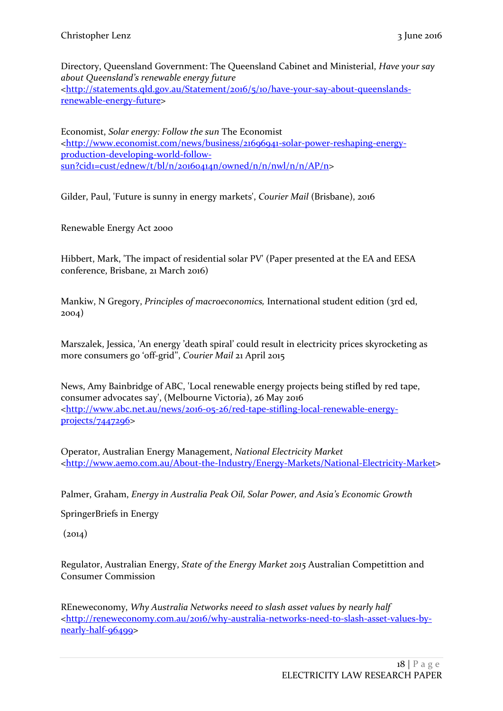Directory, Queensland Government: The Queensland Cabinet and Ministerial, *Have your say about Queensland's renewable energy future* [<http://statements.qld.gov.au/Statement/2016/5/10/have-your-say-about-queenslands](http://statements.qld.gov.au/Statement/2016/5/10/have-your-say-about-queenslands-renewable-energy-future)[renewable-energy-future>](http://statements.qld.gov.au/Statement/2016/5/10/have-your-say-about-queenslands-renewable-energy-future)

Economist, *Solar energy: Follow the sun* The Economist [<http://www.economist.com/news/business/21696941-solar-power-reshaping-energy](http://www.economist.com/news/business/21696941-solar-power-reshaping-energy-production-developing-world-follow-sun?cid1=cust/ednew/t/bl/n/20160414n/owned/n/n/nwl/n/n/AP/n)[production-developing-world-follow](http://www.economist.com/news/business/21696941-solar-power-reshaping-energy-production-developing-world-follow-sun?cid1=cust/ednew/t/bl/n/20160414n/owned/n/n/nwl/n/n/AP/n)[sun?cid1=cust/ednew/t/bl/n/20160414n/owned/n/n/nwl/n/n/AP/n>](http://www.economist.com/news/business/21696941-solar-power-reshaping-energy-production-developing-world-follow-sun?cid1=cust/ednew/t/bl/n/20160414n/owned/n/n/nwl/n/n/AP/n)

Gilder, Paul, 'Future is sunny in energy markets', *Courier Mail* (Brisbane), 2016

Renewable Energy Act 2000

Hibbert, Mark, 'The impact of residential solar PV' (Paper presented at the EA and EESA conference, Brisbane, 21 March 2016)

Mankiw, N Gregory, *Principles of macroeconomics,* International student edition (3rd ed, 2004)

Marszalek, Jessica, 'An energy 'death spiral' could result in electricity prices skyrocketing as more consumers go 'off-grid'', *Courier Mail* 21 April 2015

News, Amy Bainbridge of ABC, 'Local renewable energy projects being stifled by red tape, consumer advocates say', (Melbourne Victoria), 26 May 2016 [<http://www.abc.net.au/news/2016-05-26/red-tape-stifling-local-renewable-energy](http://www.abc.net.au/news/2016-05-26/red-tape-stifling-local-renewable-energy-projects/7447296)[projects/7447296>](http://www.abc.net.au/news/2016-05-26/red-tape-stifling-local-renewable-energy-projects/7447296)

Operator, Australian Energy Management, *National Electricity Market* [<http://www.aemo.com.au/About-the-Industry/Energy-Markets/National-Electricity-Market>](http://www.aemo.com.au/About-the-Industry/Energy-Markets/National-Electricity-Market)

Palmer, Graham, *Energy in Australia Peak Oil, Solar Power, and Asia's Economic Growth*

SpringerBriefs in Energy

 $(2014)$ 

Regulator, Australian Energy, *State of the Energy Market 2015* Australian Competittion and Consumer Commission

REneweconomy, *Why Australia Networks neeed to slash asset values by nearly half* [<http://reneweconomy.com.au/2016/why-australia-networks-need-to-slash-asset-values-by](http://reneweconomy.com.au/2016/why-australia-networks-need-to-slash-asset-values-by-nearly-half-96499)[nearly-half-96499>](http://reneweconomy.com.au/2016/why-australia-networks-need-to-slash-asset-values-by-nearly-half-96499)